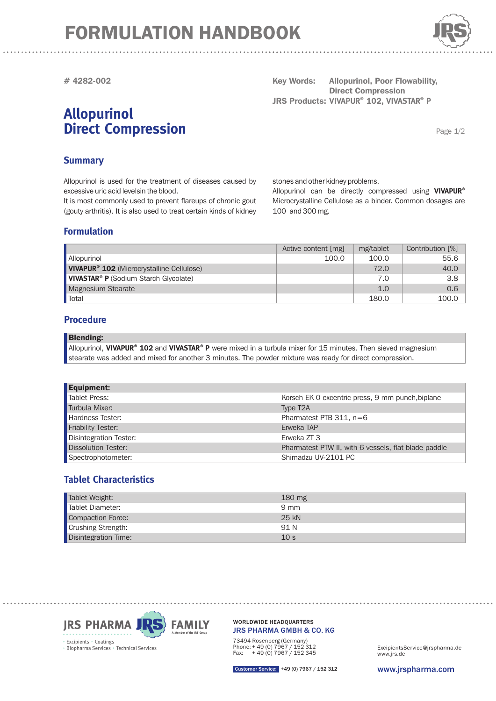# FORMULATION HANDBOOK



**# 4282-002**

# **Allopurinol Direct Compression**

**Key Words: JRS Products: VIVAPUR<sup>®</sup> 102, VIVASTAR<sup>®</sup> P Poor Flowability, Direct Compression** 

Page 1/2

## **Summary**

Allopurinol is used for the treatment of diseases caused by excessive uric acid levelsin the blood. It is most commonly used to prevent flareups of chronic gout

(gouty arthritis). It is also used to treat certain kinds of kidney

stones and other kidney problems.

Microcrystalline Cellulose as a binder. Common dosages are 100 and 300 mg. Allopurinol can be directly compressed using **VIVAPUR®**

### **Formulation**

|                                                       | Active content [mg] | mg/tablet | Contribution [%] |
|-------------------------------------------------------|---------------------|-----------|------------------|
| <b>Allopurinol</b>                                    | 100.0               | 100.0     | 55.6             |
| VIVAPUR <sup>®</sup> 102 (Microcrystalline Cellulose) |                     | 72.0      | 40.0             |
| VIVASTAR <sup>®</sup> P (Sodium Starch Glycolate)     |                     | 7.0       | 3.8              |
| Magnesium Stearate                                    |                     | 1.0       | 0.6              |
| Total                                                 |                     | 180.0     | 100.0            |

### **Procedure**

#### Blending:

Allopurinol, VIVAPUR<sup>®</sup> 102 and VIVASTAR<sup>®</sup> P were mixed in a turbula mixer for 15 minutes. Then sieved magnesium stearate was added and mixed for another 3 minutes. The powder mixture was ready for direct compression.

| <b>Equipment:</b>             |                                                      |
|-------------------------------|------------------------------------------------------|
| <b>Tablet Press:</b>          | Korsch EK 0 excentric press, 9 mm punch, biplane     |
| Turbula Mixer:                | Type T <sub>2</sub> A                                |
| Hardness Tester:              | Pharmatest PTB $311$ , n=6                           |
| <b>Friability Tester:</b>     | Erweka TAP                                           |
| <b>Disintegration Tester:</b> | Erweka ZT 3                                          |
| <b>Dissolution Tester:</b>    | Pharmatest PTW II, with 6 vessels, flat blade paddle |
| Spectrophotometer:            | Shimadzu UV-2101 PC                                  |

## **Tablet Characteristics**

| Tablet Weight:       | $180 \text{ mg}$ |
|----------------------|------------------|
| Tablet Diameter:     | $9 \text{ mm}$   |
| Compaction Force:    | 25 kN            |
| Crushing Strength:   | 91 N             |
| Disintegration Time: | 10 <sub>s</sub>  |



JRS PHARMA GMBH & CO. KG WORLDWIDE HEADQUARTERS

73494 Rosenberg (Germany) Phone: + 49 (0) 7967 / 152 312 Fax: + 49 (0) 7967 / 152 345

www.jrs.de ExcipientsService@jrspharma.de

Customer Service: +49 (0) 7967 / 152 312

www.jrspharma.com